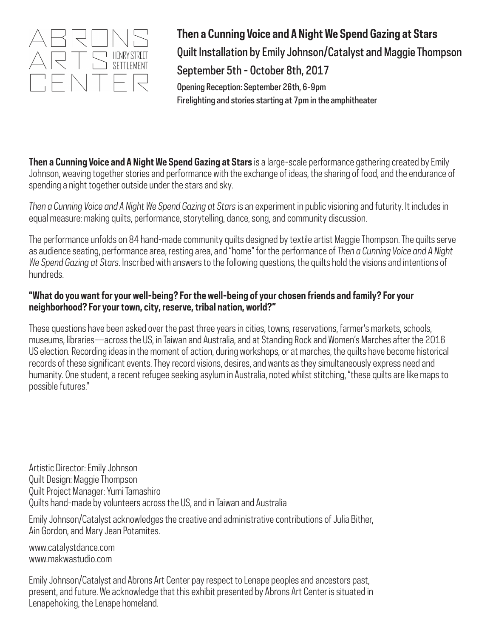

**Then a Cunning Voice and A Night We Spend Gazing at Stars** Quilt Installation by Emily Johnson/Catalyst and Maggie Thompson September 5th - October 8th, 2017 Opening Reception: September 26th, 6-9pm Firelighting and stories starting at 7pm in the amphitheater

**Then a Cunning Voice and A Night We Spend Gazing at Stars** is a large-scale performance gathering created by Emily Johnson, weaving together stories and performance with the exchange of ideas, the sharing of food, and the endurance of spending a night together outside under the stars and sky.

*Then a Cunning Voice and A Night We Spend Gazing at Stars* is an experiment in public visioning and futurity. It includes in equal measure: making quilts, performance, storytelling, dance, song, and community discussion.

The performance unfolds on 84 hand-made community quilts designed by textile artist Maggie Thompson. The quilts serve as audience seating, performance area, resting area, and "home" for the performance of *Then a Cunning Voice and A Night We Spend Gazing at Stars*. Inscribed with answers to the following questions, the quilts hold the visions and intentions of hundreds.

## **"What do you want for your well-being? For the well-being of your chosen friends and family? For your neighborhood? For your town, city, reserve, tribal nation, world?"**

These questions have been asked over the past three years in cities, towns, reservations, farmer's markets, schools, museums, libraries—across the US, in Taiwan and Australia, and at Standing Rock and Women's Marches after the 2016 US election. Recording ideas in the moment of action, during workshops, or at marches, the quilts have become historical records of these significant events. They record visions, desires, and wants as they simultaneously express need and humanity. One student, a recent refugee seeking asylum in Australia, noted whilst stitching, "these quilts are like maps to possible futures."

Artistic Director: Emily Johnson Quilt Design: Maggie Thompson Quilt Project Manager: Yumi Tamashiro Quilts hand-made by volunteers across the US, and in Taiwan and Australia

Emily Johnson/Catalyst acknowledges the creative and administrative contributions of Julia Bither, Ain Gordon, and Mary Jean Potamites.

www.catalystdance.com www.makwastudio.com

Emily Johnson/Catalyst and Abrons Art Center pay respect to Lenape peoples and ancestors past, present, and future. We acknowledge that this exhibit presented by Abrons Art Center is situated in Lenapehoking, the Lenape homeland.